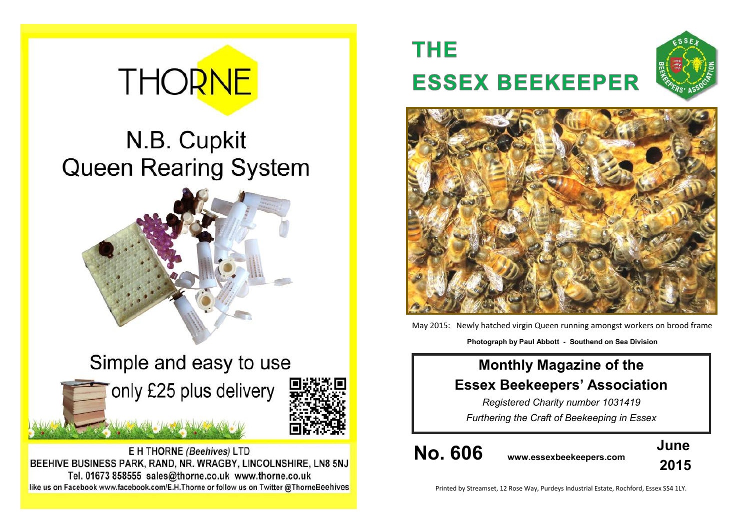# **THORNE**

## N.B. Cupkit **Queen Rearing System**



Simple and easy to use only £25 plus delivery

E H THORNE (Beehives) LTD BEEHIVE BUSINESS PARK, RAND, NR. WRAGBY, LINCOLNSHIRE, LN8 5NJ Tel. 01673 858555 sales@thorne.co.uk www.thorne.co.uk like us on Facebook www.facebook.com/E.H.Thorne or follow us on Twitter @ThorneBeehives

### **THE ESSEX BEEKEEPER**





May 2015: Newly hatched virgin Queen running amongst workers on brood frame **Photograph by Paul Abbott - Southend on Sea Division**

### **Monthly Magazine of the Essex Beekeepers' Association**

*Registered Charity number 1031419 Furthering the Craft of Beekeeping in Essex*

**No. 606 www.essexbeekeepers.com**



Printed by Streamset, 12 Rose Way, Purdeys Industrial Estate, Rochford, Essex SS4 1LY.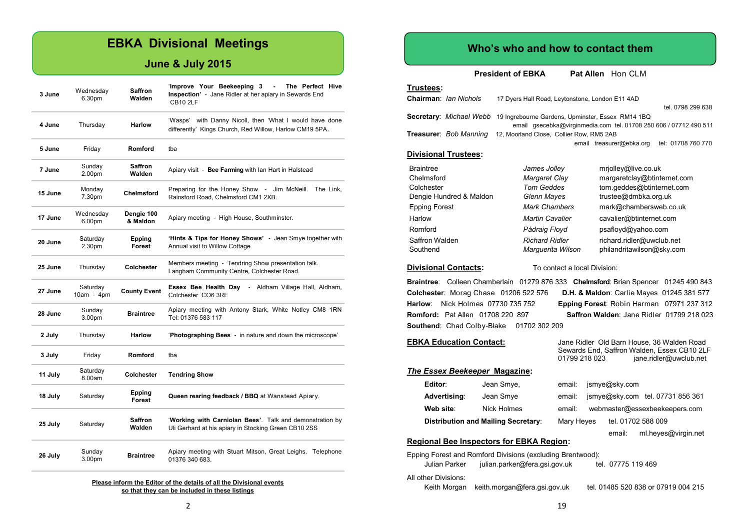#### **EBKA Divisional Meetings**

#### **June & July 2015**

| 3 June  | Wednesday<br>6.30pm      | <b>Saffron</b><br>Walden | 'Improve Your Beekeeping 3<br>The Perfect Hive<br>Inspection' - Jane Ridler at her apiary in Sewards End<br><b>CB10 2LF</b> |  |  |
|---------|--------------------------|--------------------------|-----------------------------------------------------------------------------------------------------------------------------|--|--|
| 4 June  | Thursday                 | <b>Harlow</b>            | 'Wasps' with Danny Nicoll, then 'What I would have done<br>differently' Kings Church, Red Willow, Harlow CM19 5PA.          |  |  |
| 5 June  | Friday                   | Romford                  | tba                                                                                                                         |  |  |
| 7 June  | Sunday<br>2.00pm         | <b>Saffron</b><br>Walden | Apiary visit - Bee Farming with lan Hart in Halstead                                                                        |  |  |
| 15 June | Monday<br>7.30pm         | Chelmsford               | Preparing for the Honey Show - Jim McNeill.<br>The Link,<br>Rainsford Road, Chelmsford CM1 2XB.                             |  |  |
| 17 June | Wednesday<br>6.00pm      | Dengie 100<br>& Maldon   | Apiary meeting - High House, Southminster.                                                                                  |  |  |
| 20 June | Saturday<br>2.30pm       | Epping<br><b>Forest</b>  | 'Hints & Tips for Honey Shows' - Jean Smye together with<br>Annual visit to Willow Cottage                                  |  |  |
| 25 June | Thursday                 | Colchester               | Members meeting - Tendring Show presentation talk.<br>Langham Community Centre, Colchester Road.                            |  |  |
| 27 June | Saturday<br>$10am - 4pm$ | <b>County Event</b>      | Essex Bee Health Day - Aldham Village Hall, Aldham,<br>Colchester CO6 3RE                                                   |  |  |
| 28 June | Sunday<br>3.00pm         | <b>Braintree</b>         | Apiary meeting with Antony Stark, White Notley CM8 1RN<br>Tel: 01376 583 117                                                |  |  |
| 2 July  | Thursday                 | <b>Harlow</b>            | 'Photographing Bees - in nature and down the microscope'                                                                    |  |  |
| 3 July  | Friday                   | Romford                  | tba                                                                                                                         |  |  |
| 11 July | Saturday<br>8.00am       | Colchester               | <b>Tendring Show</b>                                                                                                        |  |  |
| 18 July | Saturday                 | Epping<br><b>Forest</b>  | Queen rearing feedback / BBQ at Wanstead Apiary.                                                                            |  |  |
| 25 July | Saturday                 | Saffron<br>Walden        | 'Working with Carniolan Bees'. Talk and demonstration by<br>Uli Gerhard at his apiary in Stocking Green CB10 2SS            |  |  |
| 26 July | Sunday<br>3.00pm         | <b>Braintree</b>         | Apiary meeting with Stuart Mitson, Great Leighs. Telephone<br>01376 340 683.                                                |  |  |

**Please inform the Editor of the details of all the Divisional events so that they can be included in these listings**

#### **Who's who and how to contact them**

**President of EBKA** Pat Allen Hon CLM

#### **Trustees:**

| <b>Chairman: Ian Nichols</b>  | 17 Dyers Hall Road, Leytonstone, London E11 4AD                                  |
|-------------------------------|----------------------------------------------------------------------------------|
|                               | tel. 0798 299 638                                                                |
|                               | <b>Secretary:</b> Michael Webb 19 Ingrebourne Gardens, Upminster, Essex RM14 1BQ |
|                               | email qsecebka@virginmedia.com tel. 01708 250 606 / 07712 490 511                |
| <b>Treasurer: Bob Manning</b> | 12, Moorland Close, Collier Row, RM5 2AB                                         |
|                               | tel: 01708 760 770<br>email treasurer@ebka.org                                   |
| <b>Divisional Trustees:</b>   |                                                                                  |

#### Braintree *James Jolley* mrjolley@live.co.uk Chelmsford *Margaret Clay* margaretclay@btinternet.com Colchester *Tom Geddes* tom.geddes@btinternet.com Dengie Hundred & Maldon *Glenn Mayes* trustee@dmbka.org.uk Epping Forest *Mark Chambers* mark@chambersweb.co.uk Harlow *Martin Cavalier* cavalier@btinternet.com Romford *Pádraig Floyd* psafloyd@yahoo.com Saffron Walden *Richard Ridler* richard.ridler@uwclub.net Southend *Marguerita Wilson* philandritawilson@sky.com

**Divisional Contacts:** To contact a local Division:

**Braintree**: Colleen Chamberlain 01279 876 333 **Chelmsford**: Brian Spencer 01245 490 843 **Colchester**: Morag Chase 01206 522 576 **D.H. & Maldon**: Carlie Mayes 01245 381 577 **Harlow**: Nick Holmes 07730 735 752 **Epping Forest**: Robin Harman 07971 237 312 **Romford:** Pat Allen 01708 220 897 **Saffron Walden**: Jane Ridler 01799 218 023 **Southend: Chad Colby-Blake 01702 302 209** 

#### **EBKA Education Contact:** Jane Ridler Old Barn House, 36 Walden Road

|                                            |             | Sewards End, Saffron Walden, Essex CB10 2LF<br>01799 218 023 |            |               | jane.ridler@uwclub.net           |
|--------------------------------------------|-------------|--------------------------------------------------------------|------------|---------------|----------------------------------|
| The Essex Beekeeper Magazine:              |             |                                                              |            |               |                                  |
| Editor:                                    | Jean Smye,  | email:                                                       |            | jsmye@sky.com |                                  |
| Advertising:                               | Jean Smye   | email:                                                       |            |               | jsmye@sky.com tel. 07731 856 361 |
| Web site:                                  | Nick Holmes | email:                                                       |            |               | webmaster@essexbeekeepers.com    |
| <b>Distribution and Mailing Secretary:</b> |             |                                                              | Mary Heyes |               | tel. 01702 588 009               |
|                                            |             |                                                              |            | email:        | ml.heyes@virgin.net              |

#### **Regional Bee Inspectors for EBKA Region:**

| Julian Parker        | Epping Forest and Romford Divisions (excluding Brentwood):<br>julian.parker@fera.gsi.gov.uk | tel. 07775 119 469                  |
|----------------------|---------------------------------------------------------------------------------------------|-------------------------------------|
| All other Divisions: | Keith Morgan keith morgan@fera.gsi.gov.uk                                                   | tel. 01485 520 838 or 07919 004 215 |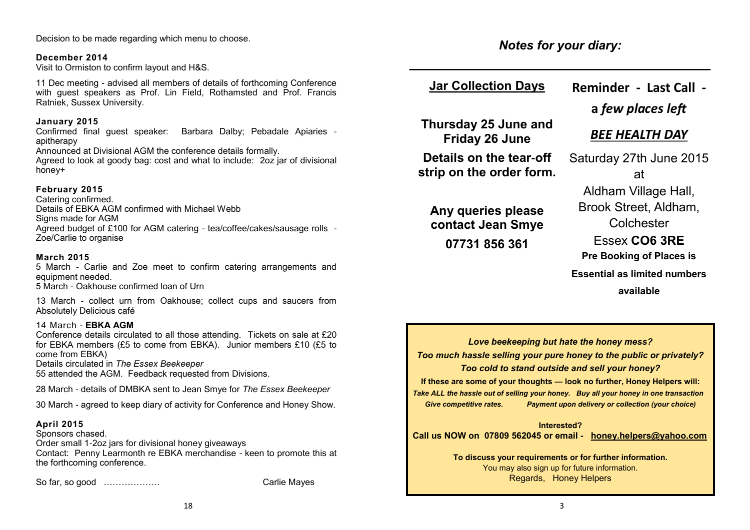Decision to be made regarding which menu to choose.

#### **December 2014**

Visit to Ormiston to confirm layout and H&S.

11 Dec meeting - advised all members of details of forthcoming Conference with quest speakers as Prof. Lin Field. Rothamsted and Prof. Francis Ratniek, Sussex University.

#### **January 2015**

Confirmed final guest speaker: Barbara Dalby; Pebadale Apiaries apitherapy

Announced at Divisional AGM the conference details formally.

Agreed to look at goody bag: cost and what to include: 2oz jar of divisional honey+

#### **February 2015**

Catering confirmed. Details of EBKA AGM confirmed with Michael Webb Signs made for AGM Agreed budget of £100 for AGM catering - tea/coffee/cakes/sausage rolls - Zoe/Carlie to organise

#### **March 2015**

5 March - Carlie and Zoe meet to confirm catering arrangements and equipment needed.

5 March - Oakhouse confirmed loan of Urn

13 March - collect urn from Oakhouse; collect cups and saucers from Absolutely Delicious café

#### 14 March - **EBKA AGM**

Conference details circulated to all those attending. Tickets on sale at £20 for EBKA members (£5 to come from EBKA). Junior members £10 (£5 to come from EBKA)

Details circulated in *The Essex Beekeeper*

55 attended the AGM. Feedback requested from Divisions.

28 March - details of DMBKA sent to Jean Smye for *The Essex Beekeeper* 

30 March - agreed to keep diary of activity for Conference and Honey Show.

#### **April 2015**

Sponsors chased. Order small 1-2oz jars for divisional honey giveaways Contact: Penny Learmonth re EBKA merchandise - keen to promote this at the forthcoming conference.

So far, so good ………………. Carlie Mayes

*Notes for your diary:*

#### **Jar Collection Days Reminder - Last Call -**

*\_\_\_\_\_\_\_\_\_\_\_\_\_\_\_\_\_\_\_\_\_\_\_\_\_\_\_\_\_\_\_\_\_\_\_\_\_\_*

**Thursday 25 June and Friday 26 June**

**Details on the tear-off strip on the order form.**

**Any queries please contact Jean Smye**

**07731 856 361**

#### **a** *few places left*

#### *BEE HEALTH DAY*

Saturday 27th June 2015 at Aldham Village Hall, Brook Street, Aldham, **Colchester** Essex **CO6 3RE Pre Booking of Places is Essential as limited numbers available**

*Love beekeeping but hate the honey mess? Too much hassle selling your pure honey to the public or privately? Too cold to stand outside and sell your honey?*

**If these are some of your thoughts — look no further, Honey Helpers will:** *Take ALL the hassle out of selling your honey. Buy all your honey in one transaction Give competitive rates. Payment upon delivery or collection (your choice)*

**Interested? Call us NOW on 07809 562045 or email - [honey.helpers@yahoo.com](mailto:honey.helpers@yahoo.com)**

> **To discuss your requirements or for further information.** You may also sign up for future information. Regards, Honey Helpers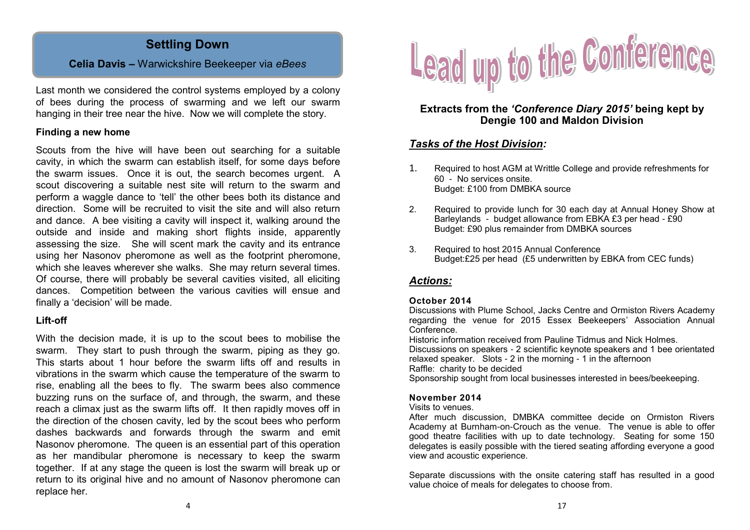#### **Settling Down**

#### **Celia Davis –** Warwickshire Beekeeper via *eBees*

Last month we considered the control systems employed by a colony of bees during the process of swarming and we left our swarm hanging in their tree near the hive. Now we will complete the story.

#### **Finding a new home**

Scouts from the hive will have been out searching for a suitable cavity, in which the swarm can establish itself, for some days before the swarm issues. Once it is out, the search becomes urgent. A scout discovering a suitable nest site will return to the swarm and perform a waggle dance to 'tell' the other bees both its distance and direction. Some will be recruited to visit the site and will also return and dance. A bee visiting a cavity will inspect it, walking around the outside and inside and making short flights inside, apparently assessing the size. She will scent mark the cavity and its entrance using her Nasonov pheromone as well as the footprint pheromone, which she leaves wherever she walks. She may return several times. Of course, there will probably be several cavities visited, all eliciting dances. Competition between the various cavities will ensue and finally a 'decision' will be made.

#### **Lift-off**

With the decision made, it is up to the scout bees to mobilise the swarm. They start to push through the swarm, piping as they go. This starts about 1 hour before the swarm lifts off and results in vibrations in the swarm which cause the temperature of the swarm to rise, enabling all the bees to fly. The swarm bees also commence buzzing runs on the surface of, and through, the swarm, and these reach a climax just as the swarm lifts off. It then rapidly moves off in the direction of the chosen cavity, led by the scout bees who perform dashes backwards and forwards through the swarm and emit Nasonov pheromone. The queen is an essential part of this operation as her mandibular pheromone is necessary to keep the swarm together. If at any stage the queen is lost the swarm will break up or return to its original hive and no amount of Nasonov pheromone can replace her.



#### **Extracts from the** *'Conference Diary 2015'* **being kept by Dengie 100 and Maldon Division**

#### *Tasks of the Host Division:*

- 1. Required to host AGM at Writtle College and provide refreshments for 60 - No services onsite. Budget: £100 from DMBKA source
- 2. Required to provide lunch for 30 each day at Annual Honey Show at Barleylands - budget allowance from EBKA £3 per head - £90 Budget: £90 plus remainder from DMBKA sources
- 3. Required to host 2015 Annual Conference Budget:£25 per head (£5 underwritten by EBKA from CEC funds)

#### *Actions:*

#### **October 2014**

Discussions with Plume School, Jacks Centre and Ormiston Rivers Academy regarding the venue for 2015 Essex Beekeepers' Association Annual Conference.

Historic information received from Pauline Tidmus and Nick Holmes. Discussions on speakers - 2 scientific keynote speakers and 1 bee orientated relaxed speaker. Slots - 2 in the morning - 1 in the afternoon Raffle: charity to be decided

Sponsorship sought from local businesses interested in bees/beekeeping.

#### **November 2014**

Visits to venues.

After much discussion, DMBKA committee decide on Ormiston Rivers Academy at Burnham-on-Crouch as the venue. The venue is able to offer good theatre facilities with up to date technology. Seating for some 150 delegates is easily possible with the tiered seating affording everyone a good view and acoustic experience.

Separate discussions with the onsite catering staff has resulted in a good value choice of meals for delegates to choose from.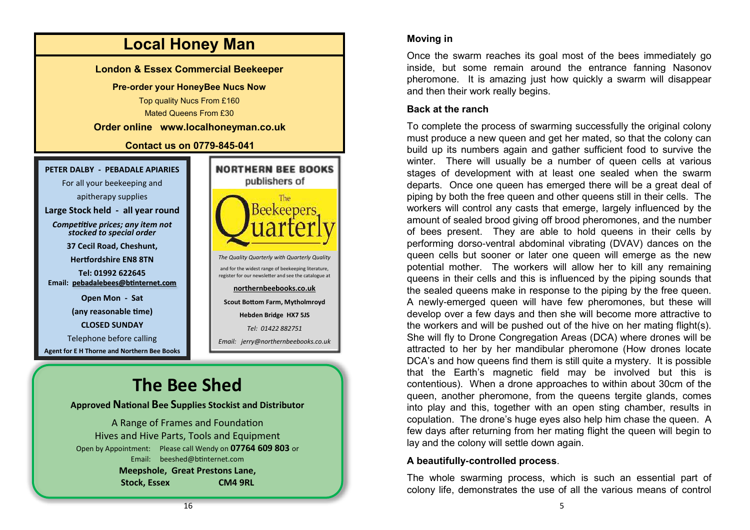

#### **Moving in**

Once the swarm reaches its goal most of the bees immediately go inside, but some remain around the entrance fanning Nasonov pheromone. It is amazing just how quickly a swarm will disappear and then their work really begins.

#### **Back at the ranch**

To complete the process of swarming successfully the original colony must produce a new queen and get her mated, so that the colony can build up its numbers again and gather sufficient food to survive the winter. There will usually be a number of queen cells at various stages of development with at least one sealed when the swarm departs. Once one queen has emerged there will be a great deal of piping by both the free queen and other queens still in their cells. The workers will control any casts that emerge, largely influenced by the amount of sealed brood giving off brood pheromones, and the number of bees present. They are able to hold queens in their cells by performing dorso-ventral abdominal vibrating (DVAV) dances on the queen cells but sooner or later one queen will emerge as the new potential mother. The workers will allow her to kill any remaining queens in their cells and this is influenced by the piping sounds that the sealed queens make in response to the piping by the free queen. A newly-emerged queen will have few pheromones, but these will develop over a few days and then she will become more attractive to the workers and will be pushed out of the hive on her mating flight(s). She will fly to Drone Congregation Areas (DCA) where drones will be attracted to her by her mandibular pheromone (How drones locate DCA's and how queens find them is still quite a mystery. It is possible that the Earth's magnetic field may be involved but this is contentious). When a drone approaches to within about 30cm of the queen, another pheromone, from the queens tergite glands, comes into play and this, together with an open sting chamber, results in copulation. The drone's huge eyes also help him chase the queen. A few days after returning from her mating flight the queen will begin to lay and the colony will settle down again.

#### **A beautifully-controlled process**.

The whole swarming process, which is such an essential part of colony life, demonstrates the use of all the various means of control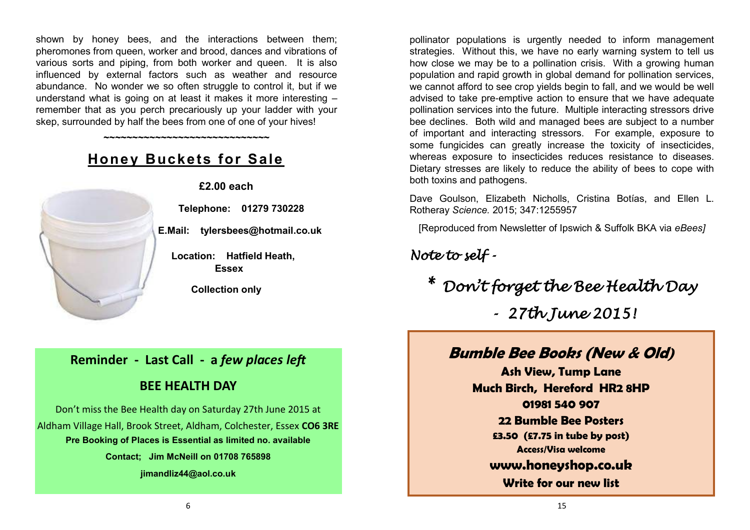shown by honey bees, and the interactions between them; pheromones from queen, worker and brood, dances and vibrations of various sorts and piping, from both worker and queen. It is also influenced by external factors such as weather and resource abundance. No wonder we so often struggle to control it, but if we understand what is going on at least it makes it more interesting – remember that as you perch precariously up your ladder with your skep, surrounded by half the bees from one of one of your hives!

**~~~~~~~~~~~~~~~~~~~~~~~~~~~~~**

**Honey Buckets for Sale**



**£2.00 each**

 **Telephone: 01279 730228**

 **E.Mail: tylersbees@hotmail.co.uk** 

 **Location: Hatfield Heath, Essex**

**Collection only**

#### **Reminder - Last Call - a** *few places left*

#### **BEE HEALTH DAY**

Don't miss the Bee Health day on Saturday 27th June 2015 at Aldham Village Hall, Brook Street, Aldham, Colchester, Essex **CO6 3RE Pre Booking of Places is Essential as limited no. available Contact; Jim McNeill on 01708 765898 jimandliz44@aol.co.uk**

pollinator populations is urgently needed to inform management strategies. Without this, we have no early warning system to tell us how close we may be to a pollination crisis. With a growing human population and rapid growth in global demand for pollination services, we cannot afford to see crop yields begin to fall, and we would be well advised to take pre-emptive action to ensure that we have adequate pollination services into the future. Multiple interacting stressors drive bee declines. Both wild and managed bees are subject to a number of important and interacting stressors. For example, exposure to some fungicides can greatly increase the toxicity of insecticides, whereas exposure to insecticides reduces resistance to diseases. Dietary stresses are likely to reduce the ability of bees to cope with both toxins and pathogens.

Dave Goulson, Elizabeth Nicholls, Cristina Botías, and Ellen L. Rotheray *Science.* 2015; 347:1255957

[Reproduced from Newsletter of Ipswich & Suffolk BKA via *eBees]*

#### *Note to self -*

*\* Don't forget the Bee Health Day - 27th June 2015!* 

#### **Bumble Bee Books (New & Old)**

**Ash View, Tump Lane Much Birch, Hereford HR2 8HP 01981 540 907 22 Bumble Bee Posters £3.50 (£7.75 in tube by post) Access/Visa welcome [www.honeyshop.co.uk](http://www.honeyshop.co.uk)**

**Write for our new list**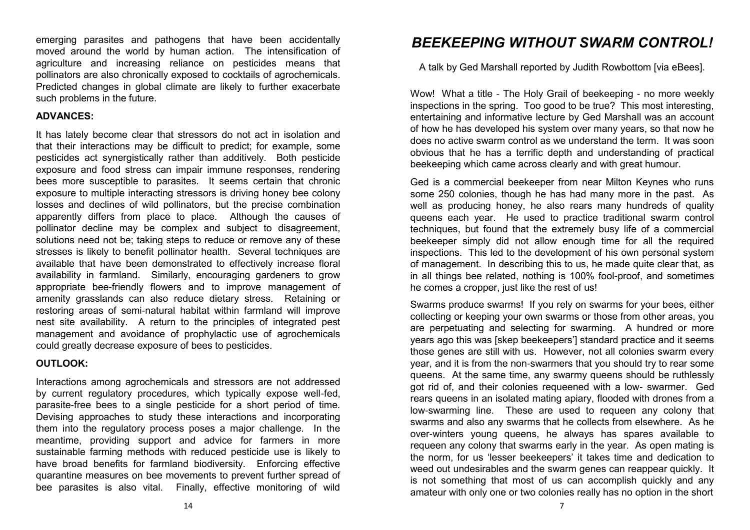emerging parasites and pathogens that have been accidentally moved around the world by human action. The intensification of agriculture and increasing reliance on pesticides means that pollinators are also chronically exposed to cocktails of agrochemicals. Predicted changes in global climate are likely to further exacerbate such problems in the future.

#### **ADVANCES:**

It has lately become clear that stressors do not act in isolation and that their interactions may be difficult to predict; for example, some pesticides act synergistically rather than additively. Both pesticide exposure and food stress can impair immune responses, rendering bees more susceptible to parasites. It seems certain that chronic exposure to multiple interacting stressors is driving honey bee colony losses and declines of wild pollinators, but the precise combination apparently differs from place to place. Although the causes of pollinator decline may be complex and subject to disagreement, solutions need not be; taking steps to reduce or remove any of these stresses is likely to benefit pollinator health. Several techniques are available that have been demonstrated to effectively increase floral availability in farmland. Similarly, encouraging gardeners to grow appropriate bee-friendly flowers and to improve management of amenity grasslands can also reduce dietary stress. Retaining or restoring areas of semi-natural habitat within farmland will improve nest site availability. A return to the principles of integrated pest management and avoidance of prophylactic use of agrochemicals could greatly decrease exposure of bees to pesticides.

#### **OUTLOOK:**

Interactions among agrochemicals and stressors are not addressed by current regulatory procedures, which typically expose well-fed, parasite-free bees to a single pesticide for a short period of time. Devising approaches to study these interactions and incorporating them into the regulatory process poses a major challenge. In the meantime, providing support and advice for farmers in more sustainable farming methods with reduced pesticide use is likely to have broad benefits for farmland biodiversity. Enforcing effective quarantine measures on bee movements to prevent further spread of bee parasites is also vital. Finally, effective monitoring of wild

#### *BEEKEEPING WITHOUT SWARM CONTROL!*

A talk by Ged Marshall reported by Judith Rowbottom [via eBees].

Wow! What a title - The Holy Grail of beekeeping - no more weekly inspections in the spring. Too good to be true? This most interesting, entertaining and informative lecture by Ged Marshall was an account of how he has developed his system over many years, so that now he does no active swarm control as we understand the term. It was soon obvious that he has a terrific depth and understanding of practical beekeeping which came across clearly and with great humour.

Ged is a commercial beekeeper from near Milton Keynes who runs some 250 colonies, though he has had many more in the past. As well as producing honey, he also rears many hundreds of quality queens each year. He used to practice traditional swarm control techniques, but found that the extremely busy life of a commercial beekeeper simply did not allow enough time for all the required inspections. This led to the development of his own personal system of management. In describing this to us, he made quite clear that, as in all things bee related, nothing is 100% fool-proof, and sometimes he comes a cropper, just like the rest of us!

Swarms produce swarms! If you rely on swarms for your bees, either collecting or keeping your own swarms or those from other areas, you are perpetuating and selecting for swarming. A hundred or more years ago this was [skep beekeepers'] standard practice and it seems those genes are still with us. However, not all colonies swarm every year, and it is from the non-swarmers that you should try to rear some queens. At the same time, any swarmy queens should be ruthlessly got rid of, and their colonies requeened with a low- swarmer. Ged rears queens in an isolated mating apiary, flooded with drones from a low-swarming line. These are used to requeen any colony that swarms and also any swarms that he collects from elsewhere. As he over-winters young queens, he always has spares available to requeen any colony that swarms early in the year. As open mating is the norm, for us 'lesser beekeepers' it takes time and dedication to weed out undesirables and the swarm genes can reappear quickly. It is not something that most of us can accomplish quickly and any amateur with only one or two colonies really has no option in the short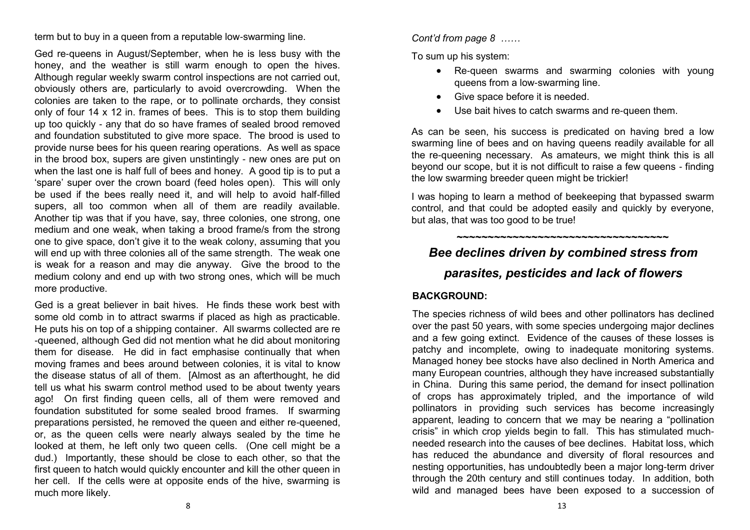term but to buy in a queen from a reputable low-swarming line.

Ged re-queens in August/September, when he is less busy with the honey, and the weather is still warm enough to open the hives. Although regular weekly swarm control inspections are not carried out, obviously others are, particularly to avoid overcrowding. When the colonies are taken to the rape, or to pollinate orchards, they consist only of four 14 x 12 in. frames of bees. This is to stop them building up too quickly - any that do so have frames of sealed brood removed and foundation substituted to give more space. The brood is used to provide nurse bees for his queen rearing operations. As well as space in the brood box, supers are given unstintingly - new ones are put on when the last one is half full of bees and honey. A good tip is to put a 'spare' super over the crown board (feed holes open). This will only be used if the bees really need it, and will help to avoid half-filled supers, all too common when all of them are readily available. Another tip was that if you have, say, three colonies, one strong, one medium and one weak, when taking a brood frame/s from the strong one to give space, don't give it to the weak colony, assuming that you will end up with three colonies all of the same strength. The weak one is weak for a reason and may die anyway. Give the brood to the medium colony and end up with two strong ones, which will be much more productive.

Ged is a great believer in bait hives. He finds these work best with some old comb in to attract swarms if placed as high as practicable. He puts his on top of a shipping container. All swarms collected are re -queened, although Ged did not mention what he did about monitoring them for disease. He did in fact emphasise continually that when moving frames and bees around between colonies, it is vital to know the disease status of all of them. [Almost as an afterthought, he did tell us what his swarm control method used to be about twenty years ago! On first finding queen cells, all of them were removed and foundation substituted for some sealed brood frames. If swarming preparations persisted, he removed the queen and either re-queened, or, as the queen cells were nearly always sealed by the time he looked at them, he left only two queen cells. (One cell might be a dud.) Importantly, these should be close to each other, so that the first queen to hatch would quickly encounter and kill the other queen in her cell. If the cells were at opposite ends of the hive, swarming is much more likely.

#### *Cont'd from page 8 ……*

To sum up his system:

- Re-queen swarms and swarming colonies with young queens from a low-swarming line.
- Give space before it is needed.
- Use bait hives to catch swarms and re-queen them.

As can be seen, his success is predicated on having bred a low swarming line of bees and on having queens readily available for all the re-queening necessary. As amateurs, we might think this is all beyond our scope, but it is not difficult to raise a few queens - finding the low swarming breeder queen might be trickier!

I was hoping to learn a method of beekeeping that bypassed swarm control, and that could be adopted easily and quickly by everyone, but alas, that was too good to be true!

**~~~~~~~~~~~~~~~~~~~~~~~~~~~~~~~~~~**

#### *Bee declines driven by combined stress from*

#### *parasites, pesticides and lack of flowers*

#### **BACKGROUND:**

The species richness of wild bees and other pollinators has declined over the past 50 years, with some species undergoing major declines and a few going extinct. Evidence of the causes of these losses is patchy and incomplete, owing to inadequate monitoring systems. Managed honey bee stocks have also declined in North America and many European countries, although they have increased substantially in China. During this same period, the demand for insect pollination of crops has approximately tripled, and the importance of wild pollinators in providing such services has become increasingly apparent, leading to concern that we may be nearing a "pollination crisis" in which crop yields begin to fall. This has stimulated muchneeded research into the causes of bee declines. Habitat loss, which has reduced the abundance and diversity of floral resources and nesting opportunities, has undoubtedly been a major long-term driver through the 20th century and still continues today. In addition, both wild and managed bees have been exposed to a succession of

8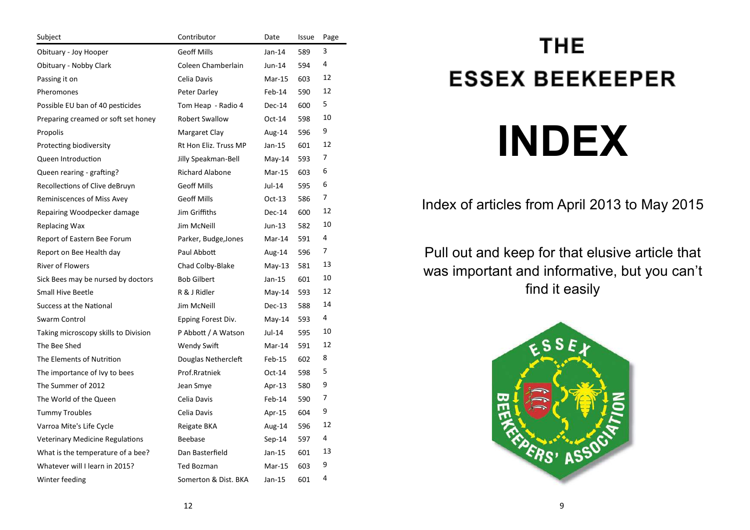| Subject                                | Contributor            | Date     | Issue | Page |
|----------------------------------------|------------------------|----------|-------|------|
| Obituary - Joy Hooper                  | <b>Geoff Mills</b>     | $Jan-14$ | 589   | 3    |
| Obituary - Nobby Clark                 | Coleen Chamberlain     | Jun-14   | 594   | 4    |
| Passing it on                          | Celia Davis            | Mar-15   | 603   | 12   |
| Pheromones                             | Peter Darley           | Feb-14   | 590   | 12   |
| Possible EU ban of 40 pesticides       | Tom Heap - Radio 4     | $Dec-14$ | 600   | 5    |
| Preparing creamed or soft set honey    | <b>Robert Swallow</b>  | $Oct-14$ | 598   | 10   |
| Propolis                               | Margaret Clay          | Aug-14   | 596   | 9    |
| Protecting biodiversity                | Rt Hon Eliz. Truss MP  | Jan-15   | 601   | 12   |
| Queen Introduction                     | Jilly Speakman-Bell    | May-14   | 593   | 7    |
| Queen rearing - grafting?              | <b>Richard Alabone</b> | $Mar-15$ | 603   | 6    |
| Recollections of Clive deBruyn         | <b>Geoff Mills</b>     | Jul-14   | 595   | 6    |
| Reminiscences of Miss Avey             | <b>Geoff Mills</b>     | $Oct-13$ | 586   | 7    |
| Repairing Woodpecker damage            | Jim Griffiths          | Dec-14   | 600   | 12   |
| <b>Replacing Wax</b>                   | Jim McNeill            | Jun-13   | 582   | 10   |
| Report of Eastern Bee Forum            | Parker, Budge, Jones   | Mar-14   | 591   | 4    |
| Report on Bee Health day               | Paul Abbott            | Aug-14   | 596   | 7    |
| <b>River of Flowers</b>                | Chad Colby-Blake       | $May-13$ | 581   | 13   |
| Sick Bees may be nursed by doctors     | <b>Bob Gilbert</b>     | Jan-15   | 601   | 10   |
| Small Hive Beetle                      | R & J Ridler           | $May-14$ | 593   | 12   |
| Success at the National                | Jim McNeill            | $Dec-13$ | 588   | 14   |
| Swarm Control                          | Epping Forest Div.     | May-14   | 593   | 4    |
| Taking microscopy skills to Division   | P Abbott / A Watson    | Jul-14   | 595   | 10   |
| The Bee Shed                           | <b>Wendy Swift</b>     | Mar-14   | 591   | 12   |
| The Elements of Nutrition              | Douglas Nethercleft    | Feb-15   | 602   | 8    |
| The importance of Ivy to bees          | Prof.Rratniek          | Oct-14   | 598   | 5    |
| The Summer of 2012                     | Jean Smye              | Apr-13   | 580   | 9    |
| The World of the Queen                 | Celia Davis            | Feb-14   | 590   | 7    |
| <b>Tummy Troubles</b>                  | Celia Davis            | Apr-15   | 604   | 9    |
| Varroa Mite's Life Cycle               | Reigate BKA            | Aug-14   | 596   | 12   |
| <b>Veterinary Medicine Regulations</b> | Beebase                | $Sep-14$ | 597   | 4    |
| What is the temperature of a bee?      | Dan Basterfield        | Jan-15   | 601   | 13   |
| Whatever will I learn in 2015?         | <b>Ted Bozman</b>      | $Mar-15$ | 603   | 9    |
| Winter feeding                         | Somerton & Dist. BKA   | Jan-15   | 601   | 4    |

## **THE ESSEX BEEKEEPER INDEX**

#### Index of articles from April 2013 to May 2015

Pull out and keep for that elusive article that was important and informative, but you can't find it easily